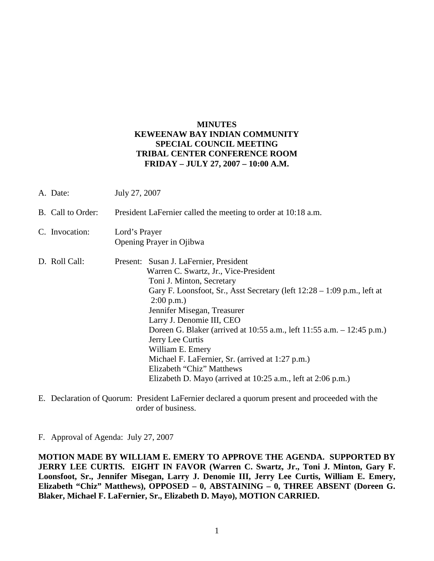## **MINUTES KEWEENAW BAY INDIAN COMMUNITY SPECIAL COUNCIL MEETING TRIBAL CENTER CONFERENCE ROOM FRIDAY – JULY 27, 2007 – 10:00 A.M.**

| A. Date:          | July 27, 2007                                                                                                                                                                                                                                                                                                                                                                                                                                                                                                                         |
|-------------------|---------------------------------------------------------------------------------------------------------------------------------------------------------------------------------------------------------------------------------------------------------------------------------------------------------------------------------------------------------------------------------------------------------------------------------------------------------------------------------------------------------------------------------------|
| B. Call to Order: | President LaFernier called the meeting to order at 10:18 a.m.                                                                                                                                                                                                                                                                                                                                                                                                                                                                         |
| C. Invocation:    | Lord's Prayer<br>Opening Prayer in Ojibwa                                                                                                                                                                                                                                                                                                                                                                                                                                                                                             |
| D. Roll Call:     | Present: Susan J. LaFernier, President<br>Warren C. Swartz, Jr., Vice-President<br>Toni J. Minton, Secretary<br>Gary F. Loonsfoot, Sr., Asst Secretary (left $12:28 - 1:09$ p.m., left at<br>2:00 p.m.<br>Jennifer Misegan, Treasurer<br>Larry J. Denomie III, CEO<br>Doreen G. Blaker (arrived at 10:55 a.m., left 11:55 a.m. – 12:45 p.m.)<br>Jerry Lee Curtis<br>William E. Emery<br>Michael F. LaFernier, Sr. (arrived at 1:27 p.m.)<br>Elizabeth "Chiz" Matthews<br>Elizabeth D. Mayo (arrived at 10:25 a.m., left at 2:06 p.m.) |

E. Declaration of Quorum: President LaFernier declared a quorum present and proceeded with the order of business.

## F. Approval of Agenda: July 27, 2007

**MOTION MADE BY WILLIAM E. EMERY TO APPROVE THE AGENDA. SUPPORTED BY JERRY LEE CURTIS. EIGHT IN FAVOR (Warren C. Swartz, Jr., Toni J. Minton, Gary F. Loonsfoot, Sr., Jennifer Misegan, Larry J. Denomie III, Jerry Lee Curtis, William E. Emery, Elizabeth "Chiz" Matthews), OPPOSED – 0, ABSTAINING – 0, THREE ABSENT (Doreen G. Blaker, Michael F. LaFernier, Sr., Elizabeth D. Mayo), MOTION CARRIED.**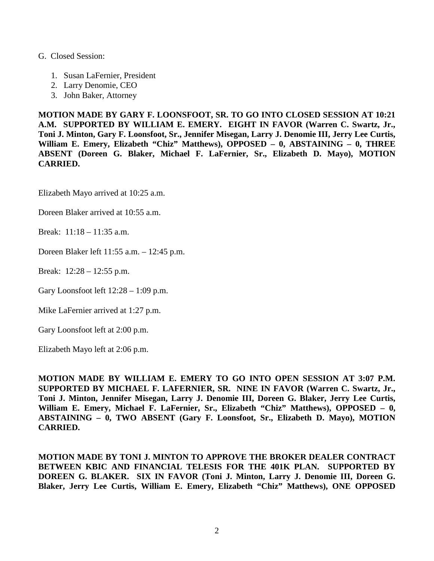## G. Closed Session:

- 1. Susan LaFernier, President
- 2. Larry Denomie, CEO
- 3. John Baker, Attorney

**MOTION MADE BY GARY F. LOONSFOOT, SR. TO GO INTO CLOSED SESSION AT 10:21 A.M. SUPPORTED BY WILLIAM E. EMERY. EIGHT IN FAVOR (Warren C. Swartz, Jr., Toni J. Minton, Gary F. Loonsfoot, Sr., Jennifer Misegan, Larry J. Denomie III, Jerry Lee Curtis, William E. Emery, Elizabeth "Chiz" Matthews), OPPOSED – 0, ABSTAINING – 0, THREE ABSENT (Doreen G. Blaker, Michael F. LaFernier, Sr., Elizabeth D. Mayo), MOTION CARRIED.**

Elizabeth Mayo arrived at 10:25 a.m.

Doreen Blaker arrived at 10:55 a.m.

Break: 11:18 – 11:35 a.m.

Doreen Blaker left 11:55 a.m. – 12:45 p.m.

Break: 12:28 – 12:55 p.m.

Gary Loonsfoot left 12:28 – 1:09 p.m.

Mike LaFernier arrived at 1:27 p.m.

Gary Loonsfoot left at 2:00 p.m.

Elizabeth Mayo left at 2:06 p.m.

**MOTION MADE BY WILLIAM E. EMERY TO GO INTO OPEN SESSION AT 3:07 P.M. SUPPORTED BY MICHAEL F. LAFERNIER, SR. NINE IN FAVOR (Warren C. Swartz, Jr., Toni J. Minton, Jennifer Misegan, Larry J. Denomie III, Doreen G. Blaker, Jerry Lee Curtis, William E. Emery, Michael F. LaFernier, Sr., Elizabeth "Chiz" Matthews), OPPOSED – 0, ABSTAINING – 0, TWO ABSENT (Gary F. Loonsfoot, Sr., Elizabeth D. Mayo), MOTION CARRIED.**

**MOTION MADE BY TONI J. MINTON TO APPROVE THE BROKER DEALER CONTRACT BETWEEN KBIC AND FINANCIAL TELESIS FOR THE 401K PLAN. SUPPORTED BY DOREEN G. BLAKER. SIX IN FAVOR (Toni J. Minton, Larry J. Denomie III, Doreen G. Blaker, Jerry Lee Curtis, William E. Emery, Elizabeth "Chiz" Matthews), ONE OPPOSED**